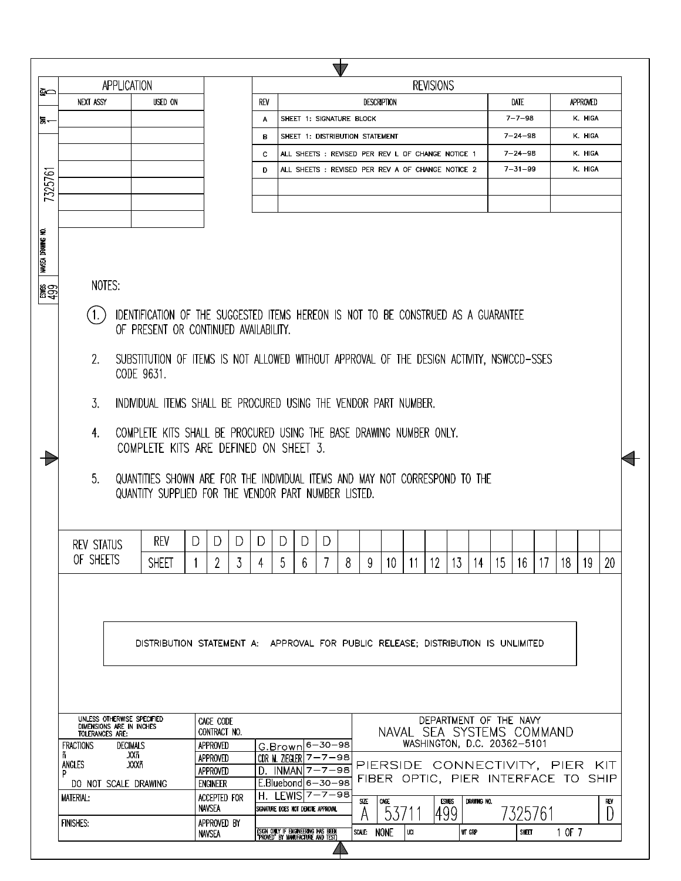| ଛ≏                 | APPLICATION                                                                          |                                                                                                                             |                               |   |            |   |                                                                          |   |                  |   |                    |     | <b>REVISIONS</b> |              |                                                     |    |                                |            |        |                    |     |  |
|--------------------|--------------------------------------------------------------------------------------|-----------------------------------------------------------------------------------------------------------------------------|-------------------------------|---|------------|---|--------------------------------------------------------------------------|---|------------------|---|--------------------|-----|------------------|--------------|-----------------------------------------------------|----|--------------------------------|------------|--------|--------------------|-----|--|
|                    | <b>NEXT ASSY</b>                                                                     | USED ON                                                                                                                     |                               |   | <b>REV</b> |   |                                                                          |   |                  |   | <b>DESCRIPTION</b> |     |                  |              |                                                     |    | DATE                           |            |        | APPROVED           |     |  |
| ਙ—                 |                                                                                      |                                                                                                                             |                               |   | A          |   | SHEET 1: SIGNATURE BLOCK                                                 |   |                  |   |                    |     |                  |              |                                                     |    | $7 - 7 - 98$                   |            |        | K. HIGA            |     |  |
|                    |                                                                                      |                                                                                                                             |                               |   | в          |   | SHEET 1: DISTRIBUTION STATEMENT                                          |   |                  |   |                    |     |                  |              |                                                     |    | $7 - 24 - 98$                  |            |        | K. HIGA            |     |  |
|                    |                                                                                      |                                                                                                                             |                               |   | c.         |   | ALL SHEETS : REVISED PER REV L OF CHANGE NOTICE 1                        |   |                  |   |                    |     |                  |              |                                                     |    | $7 - 24 - 98$<br>$7 - 31 - 99$ |            |        | K. HIGA<br>K. HIGA |     |  |
| 7325761            |                                                                                      |                                                                                                                             |                               |   | D          |   | ALL SHEETS : REVISED PER REV A OF CHANGE NOTICE 2                        |   |                  |   |                    |     |                  |              |                                                     |    |                                |            |        |                    |     |  |
|                    |                                                                                      |                                                                                                                             |                               |   |            |   |                                                                          |   |                  |   |                    |     |                  |              |                                                     |    |                                |            |        |                    |     |  |
|                    |                                                                                      |                                                                                                                             |                               |   |            |   |                                                                          |   |                  |   |                    |     |                  |              |                                                     |    |                                |            |        |                    |     |  |
|                    |                                                                                      |                                                                                                                             |                               |   |            |   |                                                                          |   |                  |   |                    |     |                  |              |                                                     |    |                                |            |        |                    |     |  |
| NAVSEA DRAWING NO. |                                                                                      |                                                                                                                             |                               |   |            |   |                                                                          |   |                  |   |                    |     |                  |              |                                                     |    |                                |            |        |                    |     |  |
|                    |                                                                                      |                                                                                                                             |                               |   |            |   |                                                                          |   |                  |   |                    |     |                  |              |                                                     |    |                                |            |        |                    |     |  |
| ∦္တူေ              | NOTES:                                                                               |                                                                                                                             |                               |   |            |   |                                                                          |   |                  |   |                    |     |                  |              |                                                     |    |                                |            |        |                    |     |  |
|                    |                                                                                      |                                                                                                                             |                               |   |            |   |                                                                          |   |                  |   |                    |     |                  |              |                                                     |    |                                |            |        |                    |     |  |
|                    | (1.)                                                                                 | IDENTIFICATION OF THE SUGGESTED ITEMS HEREON IS NOT TO BE CONSTRUED AS A GUARANTEE<br>OF PRESENT OR CONTINUED AVAILABILITY. |                               |   |            |   |                                                                          |   |                  |   |                    |     |                  |              |                                                     |    |                                |            |        |                    |     |  |
|                    |                                                                                      |                                                                                                                             |                               |   |            |   |                                                                          |   |                  |   |                    |     |                  |              |                                                     |    |                                |            |        |                    |     |  |
|                    | 2.                                                                                   | SUBSTITUTION OF ITEMS IS NOT ALLOWED WITHOUT APPROVAL OF THE DESIGN ACTIVITY, NSWCCD-SSES                                   |                               |   |            |   |                                                                          |   |                  |   |                    |     |                  |              |                                                     |    |                                |            |        |                    |     |  |
|                    | CODE 9631.                                                                           |                                                                                                                             |                               |   |            |   |                                                                          |   |                  |   |                    |     |                  |              |                                                     |    |                                |            |        |                    |     |  |
|                    | $\mathfrak{Z}$ .<br>INDIVIDUAL ITEMS SHALL BE PROCURED USING THE VENDOR PART NUMBER. |                                                                                                                             |                               |   |            |   |                                                                          |   |                  |   |                    |     |                  |              |                                                     |    |                                |            |        |                    |     |  |
|                    |                                                                                      |                                                                                                                             |                               |   |            |   |                                                                          |   |                  |   |                    |     |                  |              |                                                     |    |                                |            |        |                    |     |  |
|                    | 4.                                                                                   | COMPLETE KITS SHALL BE PROCURED USING THE BASE DRAWING NUMBER ONLY.                                                         |                               |   |            |   |                                                                          |   |                  |   |                    |     |                  |              |                                                     |    |                                |            |        |                    |     |  |
|                    |                                                                                      | COMPLETE KITS ARE DEFINED ON SHEET 3.                                                                                       |                               |   |            |   |                                                                          |   |                  |   |                    |     |                  |              |                                                     |    |                                |            |        |                    |     |  |
|                    | 5 <sub>1</sub>                                                                       | QUANTITIES SHOWN ARE FOR THE INDIVIDUAL ITEMS AND MAY NOT CORRESPOND TO THE                                                 |                               |   |            |   |                                                                          |   |                  |   |                    |     |                  |              |                                                     |    |                                |            |        |                    |     |  |
|                    |                                                                                      | QUANTITY SUPPLIED FOR THE VENDOR PART NUMBER LISTED.                                                                        |                               |   |            |   |                                                                          |   |                  |   |                    |     |                  |              |                                                     |    |                                |            |        |                    |     |  |
|                    |                                                                                      |                                                                                                                             |                               |   |            |   |                                                                          |   |                  |   |                    |     |                  |              |                                                     |    |                                |            |        |                    |     |  |
|                    |                                                                                      |                                                                                                                             |                               |   |            |   |                                                                          |   |                  |   |                    |     |                  |              |                                                     |    |                                |            |        |                    |     |  |
|                    | <b>REV STATUS</b>                                                                    | rev                                                                                                                         | D<br>D                        | D | D          | D | D                                                                        | D |                  |   |                    |     |                  |              |                                                     |    |                                |            |        |                    |     |  |
|                    | OF SHEETS                                                                            | <b>SHEET</b>                                                                                                                | 2                             | 3 | 4          | 5 | 6                                                                        |   | 8                | 9 | 10                 | -11 | -12              |              | 13   14                                             | 15 | 16                             | $\vert$ 17 | 18     | 19                 | 20  |  |
|                    |                                                                                      |                                                                                                                             |                               |   |            |   |                                                                          |   |                  |   |                    |     |                  |              |                                                     |    |                                |            |        |                    |     |  |
|                    |                                                                                      |                                                                                                                             |                               |   |            |   |                                                                          |   |                  |   |                    |     |                  |              |                                                     |    |                                |            |        |                    |     |  |
|                    |                                                                                      |                                                                                                                             |                               |   |            |   |                                                                          |   |                  |   |                    |     |                  |              |                                                     |    |                                |            |        |                    |     |  |
|                    |                                                                                      | DISTRIBUTION STATEMENT A: APPROVAL FOR PUBLIC RELEASE; DISTRIBUTION IS UNLIMITED                                            |                               |   |            |   |                                                                          |   |                  |   |                    |     |                  |              |                                                     |    |                                |            |        |                    |     |  |
|                    |                                                                                      |                                                                                                                             |                               |   |            |   |                                                                          |   |                  |   |                    |     |                  |              |                                                     |    |                                |            |        |                    |     |  |
|                    |                                                                                      |                                                                                                                             |                               |   |            |   |                                                                          |   |                  |   |                    |     |                  |              |                                                     |    |                                |            |        |                    |     |  |
|                    |                                                                                      |                                                                                                                             |                               |   |            |   |                                                                          |   |                  |   |                    |     |                  |              |                                                     |    |                                |            |        |                    |     |  |
|                    | UNLESS OTHERWISE SPECIFIED                                                           |                                                                                                                             |                               |   |            |   |                                                                          |   |                  |   |                    |     |                  |              |                                                     |    |                                |            |        |                    |     |  |
|                    | DIMENSIONS ARE IN INCHES<br>TOLERANCES ARE:                                          |                                                                                                                             | CAGE CODE<br>CONTRACT NO.     |   |            |   |                                                                          |   |                  |   |                    |     |                  |              | DEPARTMENT OF THE NAVY<br>NAVAL SEA SYSTEMS COMMAND |    |                                |            |        |                    |     |  |
|                    | <b>FRACTIONS</b><br>ñ                                                                | <b>DECIMALS</b><br>.XXñ                                                                                                     | APPROVED                      |   |            |   | G.Brown 6-30-98                                                          |   |                  |   |                    |     |                  |              | WASHINGTON, D.C. 20362-5101                         |    |                                |            |        |                    |     |  |
|                    | ANGLES<br>P                                                                          | .XXXñ                                                                                                                       | APPROVED<br>APPROVED          |   |            |   | CDR M. ZIEGLER $7 - 7 - 98$<br>$D.$ INMAN $7 - 7 - 98$                   |   |                  |   |                    |     |                  |              | PIERSIDE CONNECTIVITY, PIER KIT                     |    |                                |            |        |                    |     |  |
|                    | DO NOT SCALE DRAWING                                                                 |                                                                                                                             | <b>ENGINEER</b>               |   |            |   | E.Bluebond 6-30-98                                                       |   |                  |   |                    |     |                  |              | FIBER OPTIC, PIER INTERFACE TO SHIP                 |    |                                |            |        |                    |     |  |
|                    | <b>MATERIAL:</b>                                                                     |                                                                                                                             | ACCEPTED FOR<br><b>NAVSEA</b> |   |            |   | H. LEWIS 7-7-98<br>SIGNATURE DOES NOT DENOTE APPROVAL                    |   | SIZE             |   | CAGE               |     |                  | <b>ESWBS</b> | DRAWING NO.                                         |    |                                |            |        |                    | REV |  |
|                    |                                                                                      |                                                                                                                             |                               |   |            |   |                                                                          |   |                  |   |                    |     |                  |              |                                                     |    |                                |            |        |                    |     |  |
|                    | <b>FINISHES:</b>                                                                     |                                                                                                                             | APPROVED BY                   |   |            |   | (SIGN ONLY IF ENGINEERING HAS BEEN)<br>"PROVED" BY MANUFACTURE AND TEST) |   | A<br>SCALE: NONE |   | 537                |     |                  | 499          | WT GRP                                              |    | 7325761                        |            | 1 OF 7 |                    | D   |  |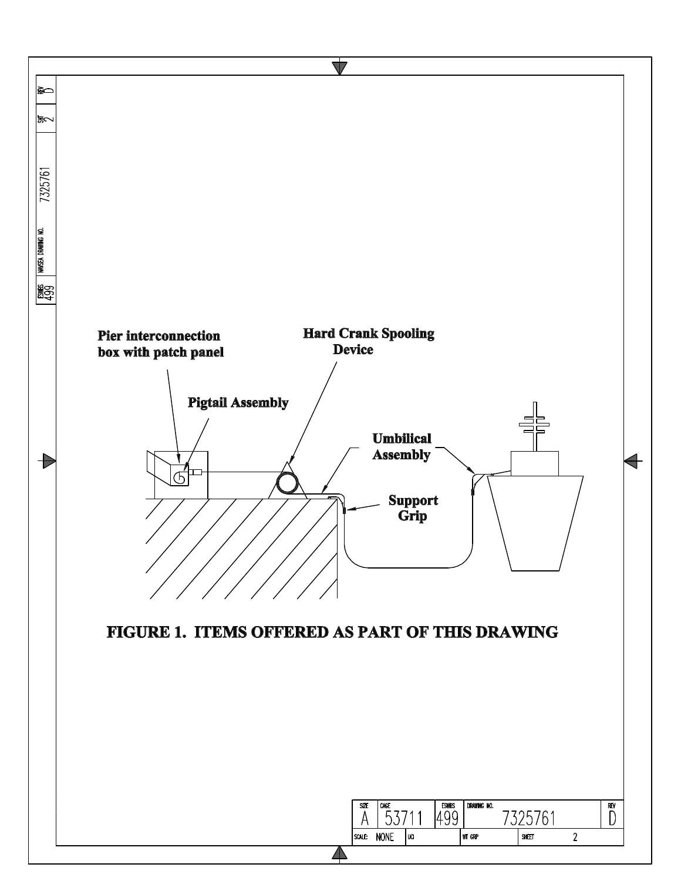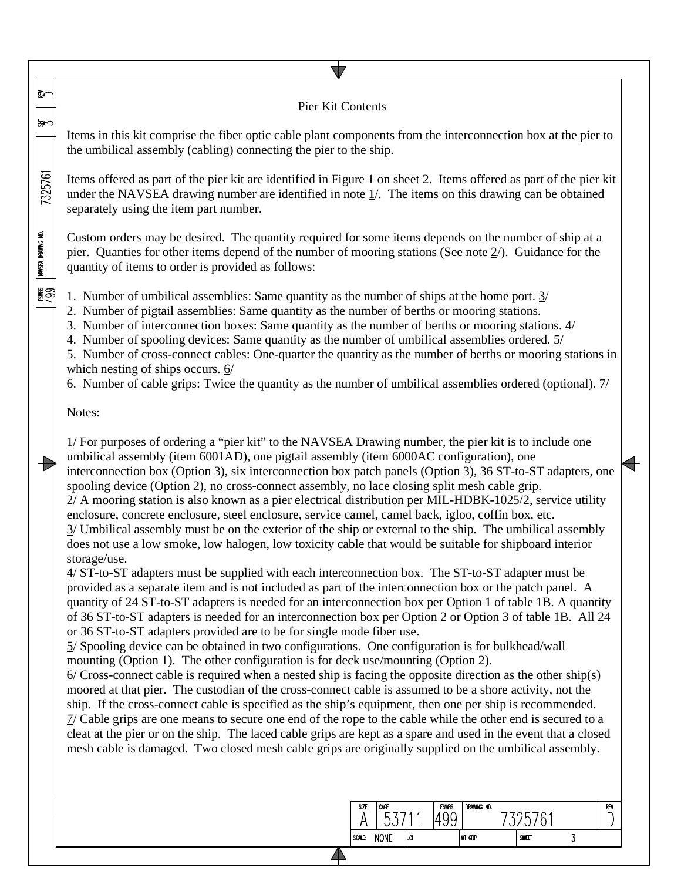## ≩⊂ Pier Kit Contents でぬ Items in this kit comprise the fiber optic cable plant components from the interconnection box at the pier to the umbilical assembly (cabling) connecting the pier to the ship. 7325761 Items offered as part of the pier kit are identified in Figure 1 on sheet 2. Items offered as part of the pier kit under the NAVSEA drawing number are identified in note 1/. The items on this drawing can be obtained separately using the item part number. WASEA DRAWING NO. Custom orders may be desired. The quantity required for some items depends on the number of ship at a pier. Quanties for other items depend of the number of mooring stations (See note 2/). Guidance for the quantity of items to order is provided as follows: ∦္တြင္ 1. Number of umbilical assemblies: Same quantity as the number of ships at the home port. 3/ 2. Number of pigtail assemblies: Same quantity as the number of berths or mooring stations. 3. Number of interconnection boxes: Same quantity as the number of berths or mooring stations. 4/ 4. Number of spooling devices: Same quantity as the number of umbilical assemblies ordered. 5/ 5. Number of cross-connect cables: One-quarter the quantity as the number of berths or mooring stations in which nesting of ships occurs. 6/ 6. Number of cable grips: Twice the quantity as the number of umbilical assemblies ordered (optional).  $\frac{1}{2}$ Notes: 1/ For purposes of ordering a "pier kit" to the NAVSEA Drawing number, the pier kit is to include one umbilical assembly (item 6001AD), one pigtail assembly (item 6000AC configuration), one  $\blacktriangleright$ interconnection box (Option 3), six interconnection box patch panels (Option 3), 36 ST-to-ST adapters, one spooling device (Option 2), no cross-connect assembly, no lace closing split mesh cable grip. 2/ A mooring station is also known as a pier electrical distribution per MIL-HDBK-1025/2, service utility enclosure, concrete enclosure, steel enclosure, service camel, camel back, igloo, coffin box, etc. 3/ Umbilical assembly must be on the exterior of the ship or external to the ship. The umbilical assembly does not use a low smoke, low halogen, low toxicity cable that would be suitable for shipboard interior storage/use. 4/ ST-to-ST adapters must be supplied with each interconnection box. The ST-to-ST adapter must be provided as a separate item and is not included as part of the interconnection box or the patch panel. A quantity of 24 ST-to-ST adapters is needed for an interconnection box per Option 1 of table 1B. A quantity of 36 ST-to-ST adapters is needed for an interconnection box per Option 2 or Option 3 of table 1B. All 24 or 36 ST-to-ST adapters provided are to be for single mode fiber use. 5/ Spooling device can be obtained in two configurations. One configuration is for bulkhead/wall mounting (Option 1). The other configuration is for deck use/mounting (Option 2).  $6/$  Cross-connect cable is required when a nested ship is facing the opposite direction as the other ship(s) moored at that pier. The custodian of the cross-connect cable is assumed to be a shore activity, not the ship. If the cross-connect cable is specified as the ship's equipment, then one per ship is recommended.

7/ Cable grips are one means to secure one end of the rope to the cable while the other end is secured to a cleat at the pier or on the ship. The laced cable grips are kept as a spare and used in the event that a closed mesh cable is damaged. Two closed mesh cable grips are originally supplied on the umbilical assembly.

|        | ∽           | ட<br>r<br>◡ | $\sim$ |       | REV |
|--------|-------------|-------------|--------|-------|-----|
| SCALE: | <b>NONE</b> | UCI         | WT GRP | SHEET |     |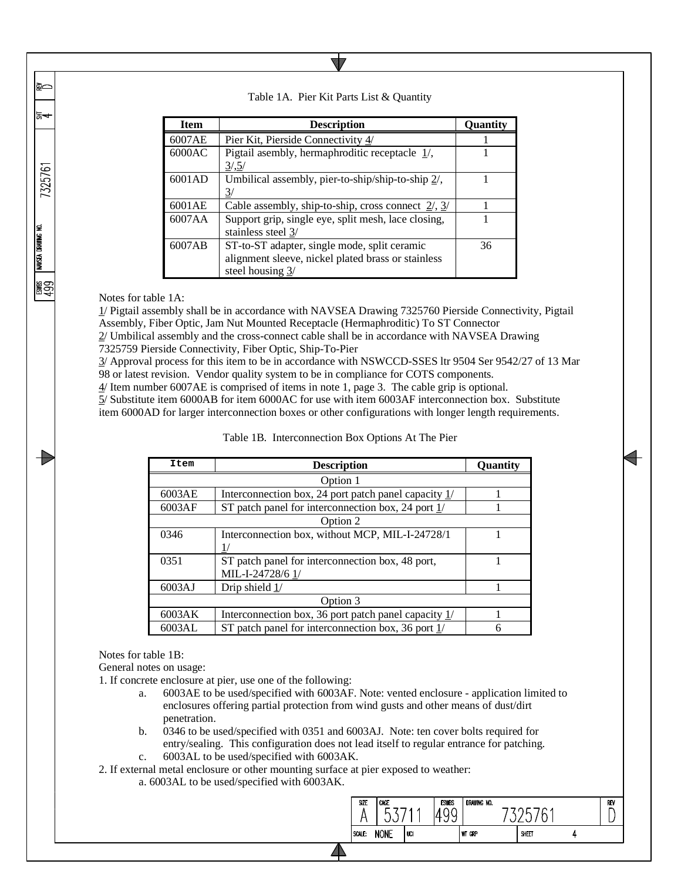| <b>Item</b> | <b>Description</b>                                                                                                     | Ouantit |
|-------------|------------------------------------------------------------------------------------------------------------------------|---------|
| 6007AE      | Pier Kit, Pierside Connectivity 4/                                                                                     |         |
| 6000AC      | Pigtail asembly, hermaphroditic receptacle $\frac{1}{\ell}$ ,<br>3/5/                                                  |         |
| 6001AD      | Umbilical assembly, pier-to-ship/ship-to-ship $2/$ ,<br>31                                                             |         |
| 6001AE      | Cable assembly, ship-to-ship, cross connect $2/3/$                                                                     |         |
| 6007AA      | Support grip, single eye, split mesh, lace closing,<br>stainless steel 3/                                              |         |
| 6007AB      | ST-to-ST adapter, single mode, split ceramic<br>alignment sleeve, nickel plated brass or stainless<br>steel housing 3/ | 36      |

## Table 1A. Pier Kit Parts List & Quantity

Notes for table 1A:

≩⊂

동수

7325761

NAVSEA DRAWING NO.

**ESS** 

1/ Pigtail assembly shall be in accordance with NAVSEA Drawing 7325760 Pierside Connectivity, Pigtail Assembly, Fiber Optic, Jam Nut Mounted Receptacle (Hermaphroditic) To ST Connector

2/ Umbilical assembly and the cross-connect cable shall be in accordance with NAVSEA Drawing 7325759 Pierside Connectivity, Fiber Optic, Ship-To-Pier

3/ Approval process for this item to be in accordance with NSWCCD-SSES ltr 9504 Ser 9542/27 of 13 Mar 98 or latest revision. Vendor quality system to be in compliance for COTS components.

4/ Item number 6007AE is comprised of items in note 1, page 3. The cable grip is optional.

5/ Substitute item 6000AB for item 6000AC for use with item 6003AF interconnection box. Substitute item 6000AD for larger interconnection boxes or other configurations with longer length requirements.

| Item     | <b>Description</b>                                     | Quantity |  |  |  |  |  |  |
|----------|--------------------------------------------------------|----------|--|--|--|--|--|--|
|          | Option 1                                               |          |  |  |  |  |  |  |
| 6003AE   | Interconnection box, 24 port patch panel capacity $1/$ |          |  |  |  |  |  |  |
| 6003AF   | ST patch panel for interconnection box, 24 port 1/     |          |  |  |  |  |  |  |
| Option 2 |                                                        |          |  |  |  |  |  |  |
| 0346     | Interconnection box, without MCP, MIL-I-24728/1        |          |  |  |  |  |  |  |
|          |                                                        |          |  |  |  |  |  |  |
| 0351     | ST patch panel for interconnection box, 48 port,       |          |  |  |  |  |  |  |
|          | MIL-I-24728/6 1/                                       |          |  |  |  |  |  |  |
| 6003AJ   | Drip shield $1/$                                       |          |  |  |  |  |  |  |
|          | Option 3                                               |          |  |  |  |  |  |  |
| 6003AK   | Interconnection box, 36 port patch panel capacity $1/$ |          |  |  |  |  |  |  |
| 6003AL   | ST patch panel for interconnection box, 36 port 1/     | 6        |  |  |  |  |  |  |

Table 1B. Interconnection Box Options At The Pier

Notes for table 1B:

General notes on usage:

1. If concrete enclosure at pier, use one of the following:

- a. 6003AE to be used/specified with 6003AF. Note: vented enclosure application limited to enclosures offering partial protection from wind gusts and other means of dust/dirt penetration.
- b. 0346 to be used/specified with 0351 and 6003AJ. Note: ten cover bolts required for entry/sealing. This configuration does not lead itself to regular entrance for patching. c. 6003AL to be used/specified with 6003AK.

2. If external metal enclosure or other mounting surface at pier exposed to weather:

a. 6003AL to be used/specified with 6003AK.

| SIZE   | CAGE<br>r   |     | <b>ESWBS</b> | DRAWING NO. |       | REV |
|--------|-------------|-----|--------------|-------------|-------|-----|
| SCALE: | <b>NONE</b> | UCI |              | WT GRP      | SIEET |     |
|        |             |     |              |             |       |     |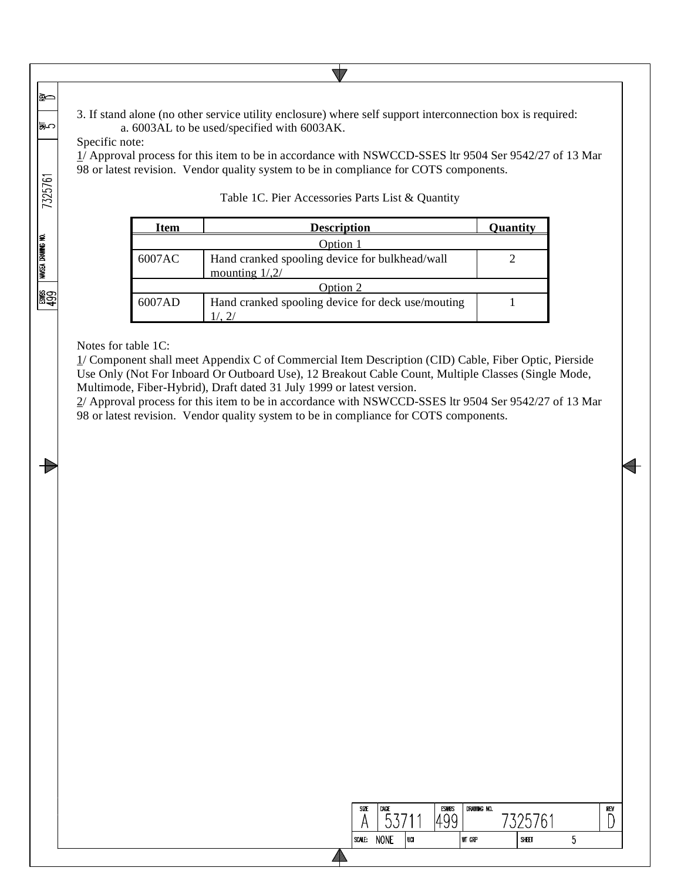3. If stand alone (no other service utility enclosure) where self support interconnection box is required: a. 6003AL to be used/specified with 6003AK.

Specific note:

≩⊂

いぼ

7325761

NAVSEA DRAWING NO.

|<br>ခြော<br>ခြေ

 $\div$ 

1/ Approval process for this item to be in accordance with NSWCCD-SSES ltr 9504 Ser 9542/27 of 13 Mar 98 or latest revision. Vendor quality system to be in compliance for COTS components.

 $\nabla$ 

| Item   | <b>Description</b>                                                | Quantity |  |  |  |  |  |
|--------|-------------------------------------------------------------------|----------|--|--|--|--|--|
|        | Option 1                                                          |          |  |  |  |  |  |
| 6007AC | Hand cranked spooling device for bulkhead/wall<br>mounting $1/2/$ |          |  |  |  |  |  |
|        | Option 2                                                          |          |  |  |  |  |  |
| 6007AD | Hand cranked spooling device for deck use/mouting                 |          |  |  |  |  |  |

## Table 1C. Pier Accessories Parts List & Quantity

Notes for table 1C:

1/ Component shall meet Appendix C of Commercial Item Description (CID) Cable, Fiber Optic, Pierside Use Only (Not For Inboard Or Outboard Use), 12 Breakout Cable Count, Multiple Classes (Single Mode, Multimode, Fiber-Hybrid), Draft dated 31 July 1999 or latest version.

2/ Approval process for this item to be in accordance with NSWCCD-SSES ltr 9504 Ser 9542/27 of 13 Mar 98 or latest revision. Vendor quality system to be in compliance for COTS components.

| SIZE   | CAGE        |     | <b>ESWBS</b><br><b>LL</b> | DRAWING NO. | и     |   | REV |
|--------|-------------|-----|---------------------------|-------------|-------|---|-----|
| SCALE: | <b>NONE</b> | UCI |                           | WT GRP      | SHEET | w |     |
|        |             |     |                           |             |       |   |     |

 $\overline{\mathcal{A}}$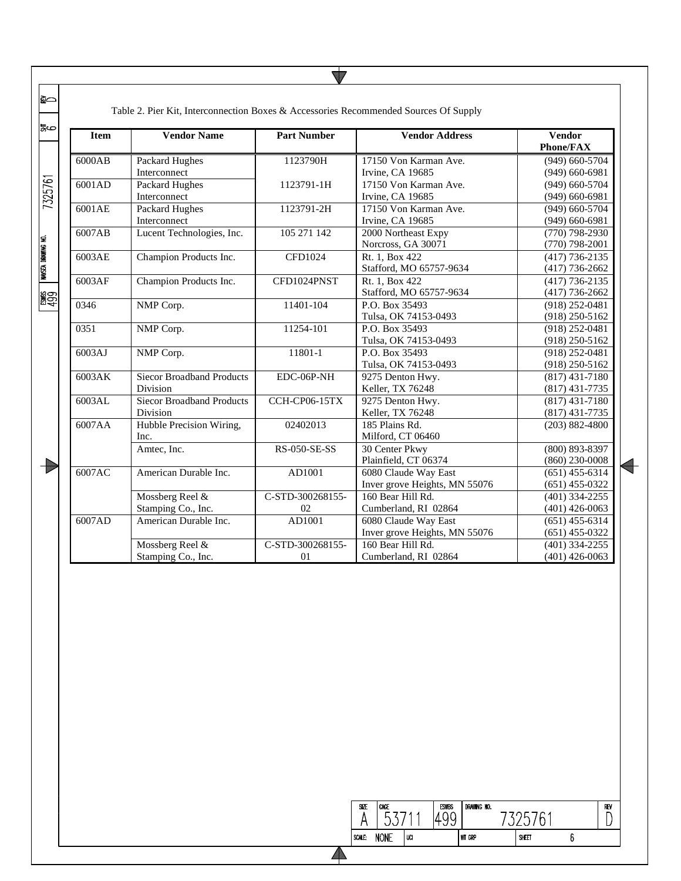| <b>Item</b> | <b>Vendor Name</b>               | <b>Part Number</b>  | <b>Vendor Address</b>         | <b>Vendor</b><br><b>Phone/FAX</b> |
|-------------|----------------------------------|---------------------|-------------------------------|-----------------------------------|
| 6000AB      | Packard Hughes                   | 1123790H            | 17150 Von Karman Ave.         | $(949)$ 660-5704                  |
|             | Interconnect                     |                     | Irvine, CA 19685              | $(949)$ 660-6981                  |
| 6001AD      | <b>Packard Hughes</b>            | 1123791-1H          | 17150 Von Karman Ave.         | $(949)$ 660-5704                  |
|             | Interconnect                     |                     | Irvine, CA 19685              | $(949)$ 660-6981                  |
| 6001AE      | Packard Hughes                   | 1123791-2H          | 17150 Von Karman Ave.         | $(949)$ 660-5704                  |
|             | Interconnect                     |                     | Irvine, CA 19685              | $(949)$ 660-6981                  |
| 6007AB      | Lucent Technologies, Inc.        | 105 271 142         | 2000 Northeast Expy           | $(770) 798 - 2930$                |
|             |                                  |                     | Norcross, GA 30071            | $(770)$ 798-2001                  |
| 6003AE      | Champion Products Inc.           | <b>CFD1024</b>      | Rt. 1, Box 422                | $(417) 736 - 2135$                |
|             |                                  |                     | Stafford, MO 65757-9634       | $(417) 736 - 2662$                |
| 6003AF      | Champion Products Inc.           | CFD1024PNST         | Rt. 1, Box 422                | $(417) 736 - 2135$                |
|             |                                  |                     | Stafford, MO 65757-9634       | $(417) 736 - 2662$                |
| 0346        | NMP Corp.                        | 11401-104           | P.O. Box 35493                | $(918)$ 252-0481                  |
|             |                                  |                     | Tulsa, OK 74153-0493          | $(918)$ 250-5162                  |
| 0351        | NMP Corp.                        | 11254-101           | P.O. Box 35493                | $(918)$ 252-0481                  |
|             |                                  |                     | Tulsa, OK 74153-0493          | $(918)$ 250-5162                  |
| 6003AJ      | NMP Corp.                        | 11801-1             | P.O. Box 35493                | $(918)$ 252-0481                  |
|             |                                  |                     | Tulsa, OK 74153-0493          | $(918)$ 250-5162                  |
| 6003AK      | <b>Siecor Broadband Products</b> | EDC-06P-NH          | 9275 Denton Hwy.              | $(817)$ 431-7180                  |
|             | Division                         |                     | Keller, TX 76248              | $(817)$ 431-7735                  |
| 6003AL      | <b>Siecor Broadband Products</b> | CCH-CP06-15TX       | 9275 Denton Hwy.              | $(817)$ 431-7180                  |
|             | Division                         |                     | Keller, TX 76248              | $(817)$ 431-7735                  |
| 6007AA      | Hubble Precision Wiring,         | 02402013            | 185 Plains Rd.                | $(203) 882 - 4800$                |
|             | Inc.                             |                     | Milford, CT 06460             |                                   |
|             | Amtec, Inc.                      | <b>RS-050-SE-SS</b> | 30 Center Pkwy                | $(800) 893 - 8397$                |
|             |                                  |                     | Plainfield, CT 06374          | $(860)$ 230-0008                  |
| 6007AC      | American Durable Inc.            | AD1001              | 6080 Claude Way East          | $(651)$ 455-6314                  |
|             |                                  |                     | Inver grove Heights, MN 55076 | $(651)$ 455-0322                  |
|             | Mossberg Reel &                  | C-STD-300268155-    | 160 Bear Hill Rd.             | $(401)$ 334-2255                  |
|             | Stamping Co., Inc.               | 02                  | Cumberland, RI 02864          | $(401)$ 426-0063                  |
| 6007AD      | American Durable Inc.            | AD1001              | 6080 Claude Way East          | $(651)$ 455-6314                  |
|             |                                  |                     | Inver grove Heights, MN 55076 | $(651)$ 455-0322                  |
|             | Mossberg Reel &                  | C-STD-300268155-    | 160 Bear Hill Rd.             | $(401)$ 334-2255                  |
|             | Stamping Co., Inc.               | 01                  | Cumberland, RI 02864          | $(401)$ 426-0063                  |

 $\overline{\nabla}$ 

| SIZE   | CAGE        |    | <b>ESWBS</b> | DRAWING NO.   |       |
|--------|-------------|----|--------------|---------------|-------|
| SCALE: | <b>NONF</b> | va |              | <b>WT GRP</b> | SHEET |

 $\begin{array}{c}\n\hline\n\text{REV}\n\\
\hline\n\end{array}$ 

 $\sqrt{6}$